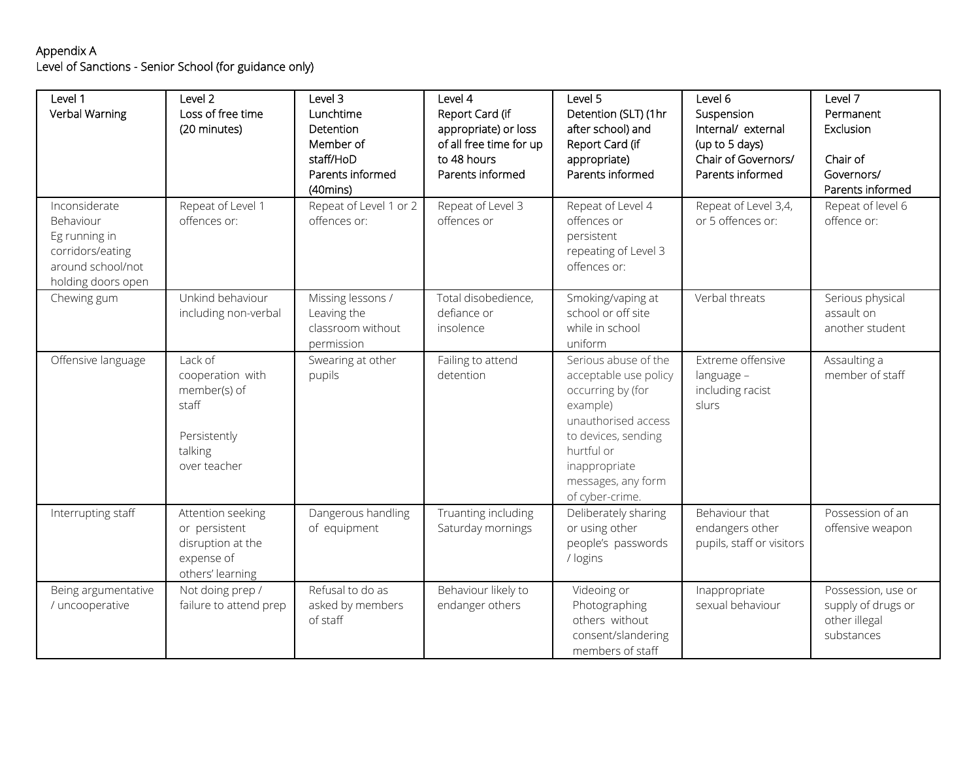## Appendix A Level of Sanctions - Senior School (for guidance only)

| Level 1<br>Verbal Warning                                                                                  | Level 2<br>Loss of free time<br>(20 minutes)                                                    | Level 3<br>Lunchtime<br>Detention<br>Member of<br>staff/HoD<br>Parents informed<br>$(40 \text{mins})$ | Level 4<br>Report Card (if<br>appropriate) or loss<br>of all free time for up<br>to 48 hours<br>Parents informed | Level 5<br>Detention (SLT) (1hr<br>after school) and<br>Report Card (if<br>appropriate)<br>Parents informed                                                                                          | Level 6<br>Suspension<br>Internal/ external<br>(up to 5 days)<br>Chair of Governors/<br>Parents informed | Level 7<br>Permanent<br>Exclusion<br>Chair of<br>Governors/<br>Parents informed |
|------------------------------------------------------------------------------------------------------------|-------------------------------------------------------------------------------------------------|-------------------------------------------------------------------------------------------------------|------------------------------------------------------------------------------------------------------------------|------------------------------------------------------------------------------------------------------------------------------------------------------------------------------------------------------|----------------------------------------------------------------------------------------------------------|---------------------------------------------------------------------------------|
| Inconsiderate<br>Behaviour<br>Eg running in<br>corridors/eating<br>around school/not<br>holding doors open | Repeat of Level 1<br>offences or:                                                               | Repeat of Level 1 or 2<br>offences or:                                                                | Repeat of Level 3<br>offences or                                                                                 | Repeat of Level 4<br>offences or<br>persistent<br>repeating of Level 3<br>offences or:                                                                                                               | Repeat of Level 3,4,<br>or 5 offences or:                                                                | Repeat of level 6<br>offence or:                                                |
| Chewing gum                                                                                                | Unkind behaviour<br>including non-verbal                                                        | Missing lessons /<br>Leaving the<br>classroom without<br>permission                                   | Total disobedience,<br>defiance or<br>insolence                                                                  | Smoking/vaping at<br>school or off site<br>while in school<br>uniform                                                                                                                                | Verbal threats                                                                                           | Serious physical<br>assault on<br>another student                               |
| Offensive language                                                                                         | Lack of<br>cooperation with<br>member(s) of<br>staff<br>Persistently<br>talking<br>over teacher | Swearing at other<br>pupils                                                                           | Failing to attend<br>detention                                                                                   | Serious abuse of the<br>acceptable use policy<br>occurring by (for<br>example)<br>unauthorised access<br>to devices, sending<br>hurtful or<br>inappropriate<br>messages, any form<br>of cyber-crime. | Extreme offensive<br>language -<br>including racist<br>slurs                                             | Assaulting a<br>member of staff                                                 |
| Interrupting staff                                                                                         | Attention seeking<br>or persistent<br>disruption at the<br>expense of<br>others' learning       | Dangerous handling<br>of equipment                                                                    | Truanting including<br>Saturday mornings                                                                         | Deliberately sharing<br>or using other<br>people's passwords<br>/ logins                                                                                                                             | Behaviour that<br>endangers other<br>pupils, staff or visitors                                           | Possession of an<br>offensive weapon                                            |
| Being argumentative<br>/ uncooperative                                                                     | Not doing prep /<br>failure to attend prep                                                      | Refusal to do as<br>asked by members<br>of staff                                                      | Behaviour likely to<br>endanger others                                                                           | Videoing or<br>Photographing<br>others without<br>consent/slandering<br>members of staff                                                                                                             | Inappropriate<br>sexual behaviour                                                                        | Possession, use or<br>supply of drugs or<br>other illegal<br>substances         |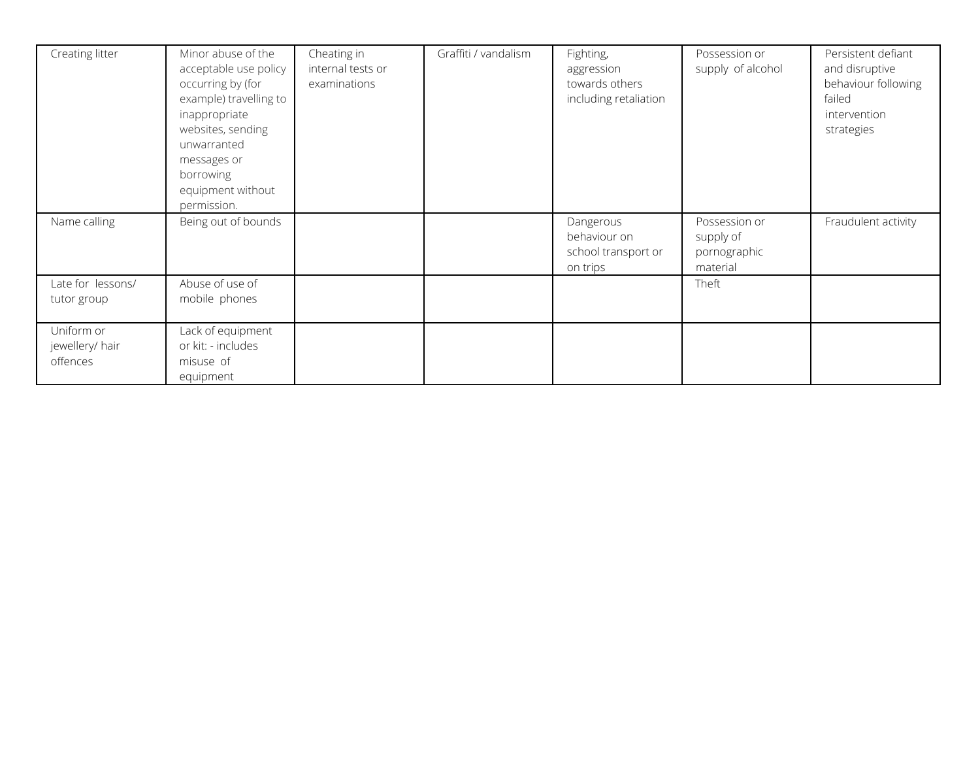| Creating litter                           | Minor abuse of the<br>acceptable use policy<br>occurring by (for<br>example) travelling to<br>inappropriate<br>websites, sending<br>unwarranted<br>messages or<br>borrowing<br>equipment without<br>permission. | Cheating in<br>internal tests or<br>examinations | Graffiti / vandalism | Fighting,<br>aggression<br>towards others<br>including retaliation | Possession or<br>supply of alcohol                     | Persistent defiant<br>and disruptive<br>behaviour following<br>failed<br>intervention<br>strategies |
|-------------------------------------------|-----------------------------------------------------------------------------------------------------------------------------------------------------------------------------------------------------------------|--------------------------------------------------|----------------------|--------------------------------------------------------------------|--------------------------------------------------------|-----------------------------------------------------------------------------------------------------|
| Name calling                              | Being out of bounds                                                                                                                                                                                             |                                                  |                      | Dangerous<br>behaviour on<br>school transport or<br>on trips       | Possession or<br>supply of<br>pornographic<br>material | Fraudulent activity                                                                                 |
| Late for lessons/<br>tutor group          | Abuse of use of<br>mobile phones                                                                                                                                                                                |                                                  |                      |                                                                    | Theft                                                  |                                                                                                     |
| Uniform or<br>jewellery/ hair<br>offences | Lack of equipment<br>or kit: - includes<br>misuse of<br>equipment                                                                                                                                               |                                                  |                      |                                                                    |                                                        |                                                                                                     |